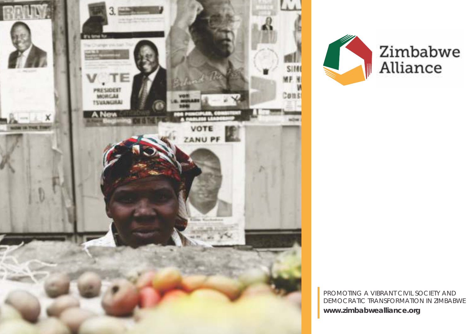



PROMOTING A VIBRANT CIVIL SOCIETY AND DEMOCRATIC TRANSFORMATION IN ZIMBABWE **www.zimbabwealliance.org**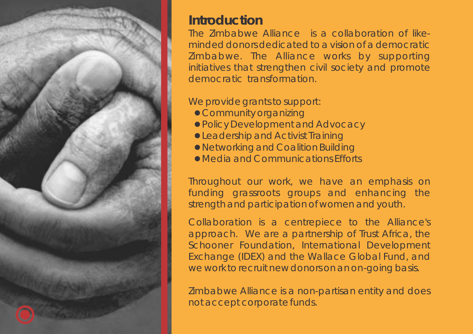

## **Introduction**

The Zimbabwe Alliance is a collaboration of likeminded donors dedicated to a vision of a democratic Zimbabwe. The Alliance works by supporting initiatives that strengthen civil society and promote democratic transformation.

#### We provide grants to support:

- Community organizing
- l Policy Development and Advocacy
- **Leadership and Activist Training**
- **Networking and Coalition Building**
- l Media and Communications Efforts

Throughout our work, we have an emphasis on funding grassroots groups and enhancing the strength and participation of women and youth.

Collaboration is a centrepiece to the Alliance's approach. We are a partnership of Trust Africa, the Schooner Foundation, International Development Exchange (IDEX) and the Wallace Global Fund, and we work to recruit new donors on an on-going basis.

Zimbabwe Alliance is a non-partisan entity and does not accept corporate funds.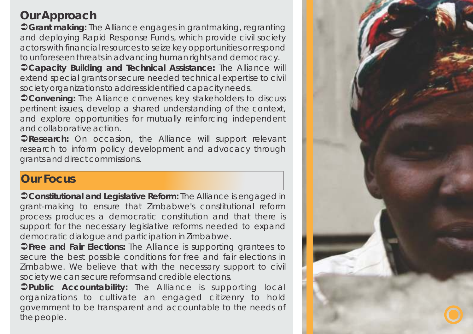# **Our Approach**

Ü**Grant making:** The Alliance engages in grantmaking, regranting and deploying Rapid Response Funds, which provide civil society actors with financial resources to seize key opportunities or respond to unforeseen threats in advancing human rights and democracy.

Ü**Capacity Building and Technical Assistance:** The Alliance will extend special grants or secure needed technical expertise to civil society organizations to address identified capacity needs.

**Convening: The Alliance convenes key stakeholders to discuss** pertinent issues, develop a shared understanding of the context, and explore opportunities for mutually reinforcing independent and collaborative action.

**CResearch: On occasion, the Alliance will support relevant** research to inform policy development and advocacy through grants and direct commissions.

### **Our Focus**

Ü**Constitutional and Legislative Reform:** The Alliance is engaged in grant-making to ensure that Zimbabwe's constitutional reform process produces a democratic constitution and that there is support for the necessary legislative reforms needed to expand democratic dialogue and participation in Zimbabwe.

Ü**Free and Fair Elections:** The Alliance is supporting grantees to secure the best possible conditions for free and fair elections in Zimbabwe. We believe that with the necessary support to civil society we can secure reforms and credible elections.

Ü**Public Accountability:** The Alliance is supporting local organizations to cultivate an engaged citizenry to hold government to be transparent and accountable to the needs of the people.